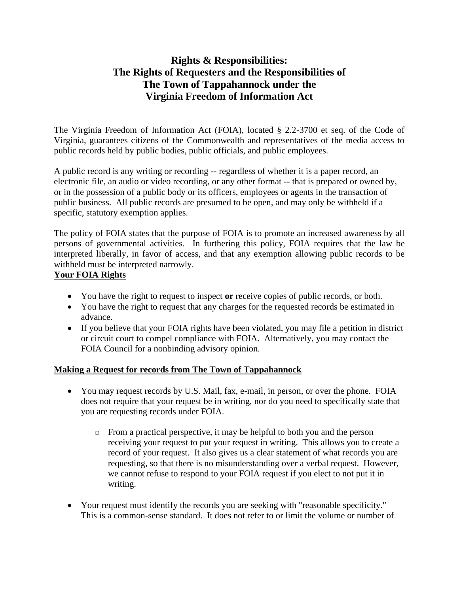# **Rights & Responsibilities: The Rights of Requesters and the Responsibilities of The Town of Tappahannock under the Virginia Freedom of Information Act**

The Virginia Freedom of Information Act (FOIA), located § 2.2-3700 et seq. of the Code of Virginia, guarantees citizens of the Commonwealth and representatives of the media access to public records held by public bodies, public officials, and public employees.

A public record is any writing or recording -- regardless of whether it is a paper record, an electronic file, an audio or video recording, or any other format -- that is prepared or owned by, or in the possession of a public body or its officers, employees or agents in the transaction of public business. All public records are presumed to be open, and may only be withheld if a specific, statutory exemption applies.

The policy of FOIA states that the purpose of FOIA is to promote an increased awareness by all persons of governmental activities. In furthering this policy, FOIA requires that the law be interpreted liberally, in favor of access, and that any exemption allowing public records to be withheld must be interpreted narrowly.

## **Your FOIA Rights**

- You have the right to request to inspect **or** receive copies of public records, or both.
- You have the right to request that any charges for the requested records be estimated in advance.
- If you believe that your FOIA rights have been violated, you may file a petition in district or circuit court to compel compliance with FOIA. Alternatively, you may contact the FOIA Council for a nonbinding advisory opinion.

### **Making a Request for records from The Town of Tappahannock**

- You may request records by U.S. Mail, fax, e-mail, in person, or over the phone. FOIA does not require that your request be in writing, nor do you need to specifically state that you are requesting records under FOIA.
	- o From a practical perspective, it may be helpful to both you and the person receiving your request to put your request in writing. This allows you to create a record of your request. It also gives us a clear statement of what records you are requesting, so that there is no misunderstanding over a verbal request. However, we cannot refuse to respond to your FOIA request if you elect to not put it in writing.
- Your request must identify the records you are seeking with "reasonable specificity." This is a common-sense standard. It does not refer to or limit the volume or number of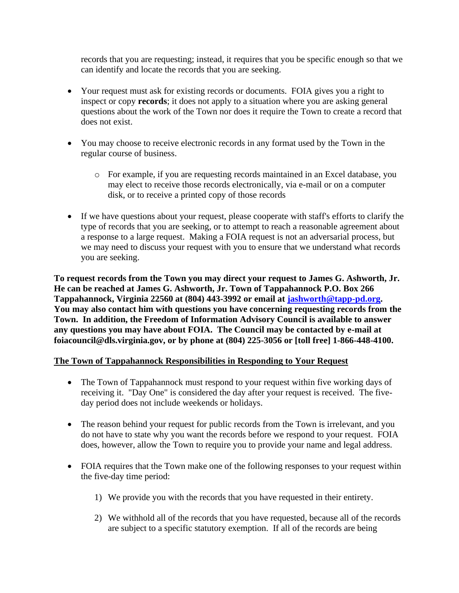records that you are requesting; instead, it requires that you be specific enough so that we can identify and locate the records that you are seeking.

- Your request must ask for existing records or documents. FOIA gives you a right to inspect or copy **records**; it does not apply to a situation where you are asking general questions about the work of the Town nor does it require the Town to create a record that does not exist.
- You may choose to receive electronic records in any format used by the Town in the regular course of business.
	- o For example, if you are requesting records maintained in an Excel database, you may elect to receive those records electronically, via e-mail or on a computer disk, or to receive a printed copy of those records
- If we have questions about your request, please cooperate with staff's efforts to clarify the type of records that you are seeking, or to attempt to reach a reasonable agreement about a response to a large request. Making a FOIA request is not an adversarial process, but we may need to discuss your request with you to ensure that we understand what records you are seeking.

**To request records from the Town you may direct your request to James G. Ashworth, Jr. He can be reached at James G. Ashworth, Jr. Town of Tappahannock P.O. Box 266 Tappahannock, Virginia 22560 at (804) 443-3992 or email at [jashworth@tapp-pd.org.](mailto:jashworth@tapp-pd.org) You may also contact him with questions you have concerning requesting records from the Town. In addition, the Freedom of Information Advisory Council is available to answer any questions you may have about FOIA. The Council may be contacted by e-mail at foiacouncil@dls.virginia.gov, or by phone at (804) 225-3056 or [toll free] 1-866-448-4100.**

### **The Town of Tappahannock Responsibilities in Responding to Your Request**

- The Town of Tappahannock must respond to your request within five working days of receiving it. "Day One" is considered the day after your request is received. The fiveday period does not include weekends or holidays.
- The reason behind your request for public records from the Town is irrelevant, and you do not have to state why you want the records before we respond to your request. FOIA does, however, allow the Town to require you to provide your name and legal address.
- FOIA requires that the Town make one of the following responses to your request within the five-day time period:
	- 1) We provide you with the records that you have requested in their entirety.
	- 2) We withhold all of the records that you have requested, because all of the records are subject to a specific statutory exemption. If all of the records are being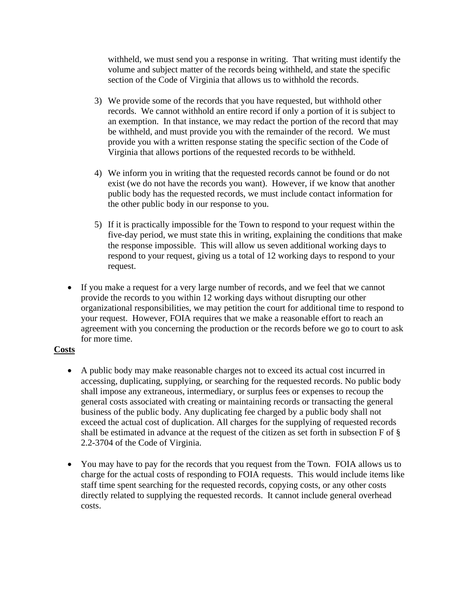withheld, we must send you a response in writing. That writing must identify the volume and subject matter of the records being withheld, and state the specific section of the Code of Virginia that allows us to withhold the records.

- 3) We provide some of the records that you have requested, but withhold other records. We cannot withhold an entire record if only a portion of it is subject to an exemption. In that instance, we may redact the portion of the record that may be withheld, and must provide you with the remainder of the record. We must provide you with a written response stating the specific section of the Code of Virginia that allows portions of the requested records to be withheld.
- 4) We inform you in writing that the requested records cannot be found or do not exist (we do not have the records you want). However, if we know that another public body has the requested records, we must include contact information for the other public body in our response to you.
- 5) If it is practically impossible for the Town to respond to your request within the five-day period, we must state this in writing, explaining the conditions that make the response impossible. This will allow us seven additional working days to respond to your request, giving us a total of 12 working days to respond to your request.
- If you make a request for a very large number of records, and we feel that we cannot provide the records to you within 12 working days without disrupting our other organizational responsibilities, we may petition the court for additional time to respond to your request. However, FOIA requires that we make a reasonable effort to reach an agreement with you concerning the production or the records before we go to court to ask for more time.

### **Costs**

- A public body may make reasonable charges not to exceed its actual cost incurred in accessing, duplicating, supplying, or searching for the requested records. No public body shall impose any extraneous, intermediary, or surplus fees or expenses to recoup the general costs associated with creating or maintaining records or transacting the general business of the public body. Any duplicating fee charged by a public body shall not exceed the actual cost of duplication. All charges for the supplying of requested records shall be estimated in advance at the request of the citizen as set forth in subsection F of § 2.2-3704 of the Code of Virginia.
- You may have to pay for the records that you request from the Town. FOIA allows us to charge for the actual costs of responding to FOIA requests. This would include items like staff time spent searching for the requested records, copying costs, or any other costs directly related to supplying the requested records. It cannot include general overhead costs.